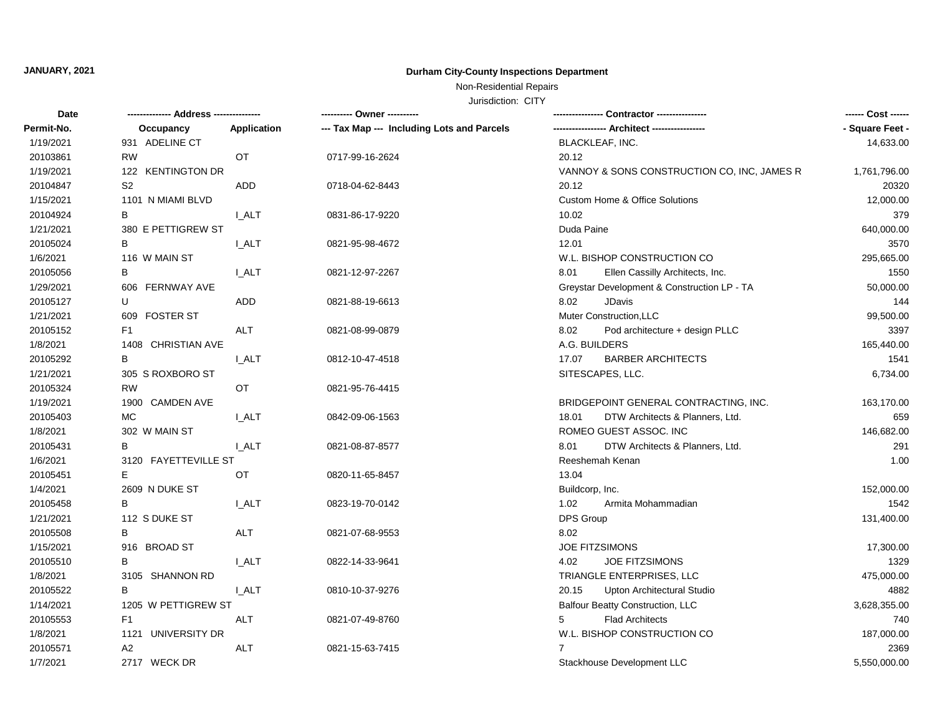# **JANUARY, 2021 Durham City-County Inspections Department**

## Non-Residential Repairs

Jurisdiction: CITY

| Date       |                      |              | ---------- Owner ----------                |                                             | ------ Cost ------ |
|------------|----------------------|--------------|--------------------------------------------|---------------------------------------------|--------------------|
| Permit-No. | Occupancy            | Application  | --- Tax Map --- Including Lots and Parcels |                                             | - Square Feet -    |
| 1/19/2021  | 931 ADELINE CT       |              |                                            | BLACKLEAF, INC.                             | 14,633.00          |
| 20103861   | <b>RW</b>            | OT           | 0717-99-16-2624                            | 20.12                                       |                    |
| 1/19/2021  | 122 KENTINGTON DR    |              |                                            | VANNOY & SONS CONSTRUCTION CO, INC, JAMES R | 1,761,796.00       |
| 20104847   | S <sub>2</sub>       | ADD          | 0718-04-62-8443                            | 20.12                                       | 20320              |
| 1/15/2021  | 1101 N MIAMI BLVD    |              |                                            | <b>Custom Home &amp; Office Solutions</b>   | 12,000.00          |
| 20104924   | В                    | I ALT        | 0831-86-17-9220                            | 10.02                                       | 379                |
| 1/21/2021  | 380 E PETTIGREW ST   |              |                                            | Duda Paine                                  | 640,000.00         |
| 20105024   | В                    | <b>I_ALT</b> | 0821-95-98-4672                            | 12.01                                       | 3570               |
| 1/6/2021   | 116 W MAIN ST        |              |                                            | W.L. BISHOP CONSTRUCTION CO                 | 295,665.00         |
| 20105056   | B                    | <b>I_ALT</b> | 0821-12-97-2267                            | 8.01<br>Ellen Cassilly Architects, Inc.     | 1550               |
| 1/29/2021  | 606 FERNWAY AVE      |              |                                            | Greystar Development & Construction LP - TA | 50,000.00          |
| 20105127   | U                    | ADD.         | 0821-88-19-6613                            | <b>JDavis</b><br>8.02                       | 144                |
| 1/21/2021  | 609 FOSTER ST        |              |                                            | Muter Construction, LLC                     | 99,500.00          |
| 20105152   | F <sub>1</sub>       | ALT          | 0821-08-99-0879                            | 8.02<br>Pod architecture + design PLLC      | 3397               |
| 1/8/2021   | 1408 CHRISTIAN AVE   |              |                                            | A.G. BUILDERS                               | 165,440.00         |
| 20105292   | в                    | <b>I_ALT</b> | 0812-10-47-4518                            | 17.07<br><b>BARBER ARCHITECTS</b>           | 1541               |
| 1/21/2021  | 305 S ROXBORO ST     |              |                                            | SITESCAPES, LLC.                            | 6,734.00           |
| 20105324   | <b>RW</b>            | OT           | 0821-95-76-4415                            |                                             |                    |
| 1/19/2021  | 1900 CAMDEN AVE      |              |                                            | BRIDGEPOINT GENERAL CONTRACTING, INC.       | 163,170.00         |
| 20105403   | MC.                  | <b>I_ALT</b> | 0842-09-06-1563                            | DTW Architects & Planners, Ltd.<br>18.01    | 659                |
| 1/8/2021   | 302 W MAIN ST        |              |                                            | ROMEO GUEST ASSOC. INC                      | 146,682.00         |
| 20105431   | В                    | I ALT        | 0821-08-87-8577                            | DTW Architects & Planners, Ltd.<br>8.01     | 291                |
| 1/6/2021   | 3120 FAYETTEVILLE ST |              |                                            | Reeshemah Kenan                             | 1.00               |
| 20105451   | Е                    | OT           | 0820-11-65-8457                            | 13.04                                       |                    |
| 1/4/2021   | 2609 N DUKE ST       |              |                                            | Buildcorp, Inc.                             | 152,000.00         |
| 20105458   | В                    | I ALT        | 0823-19-70-0142                            | 1.02<br>Armita Mohammadian                  | 1542               |
| 1/21/2021  | 112 S DUKE ST        |              |                                            | DPS Group                                   | 131,400.00         |
| 20105508   | B                    | <b>ALT</b>   | 0821-07-68-9553                            | 8.02                                        |                    |
| 1/15/2021  | 916 BROAD ST         |              |                                            | JOE FITZSIMONS                              | 17,300.00          |
| 20105510   | В                    | <b>I_ALT</b> | 0822-14-33-9641                            | JOE FITZSIMONS<br>4.02                      | 1329               |
| 1/8/2021   | 3105 SHANNON RD      |              |                                            | TRIANGLE ENTERPRISES, LLC                   | 475,000.00         |
| 20105522   | B                    | <b>I_ALT</b> | 0810-10-37-9276                            | Upton Architectural Studio<br>20.15         | 4882               |
| 1/14/2021  | 1205 W PETTIGREW ST  |              |                                            | Balfour Beatty Construction, LLC            | 3,628,355.00       |
| 20105553   | F <sub>1</sub>       | ALT          | 0821-07-49-8760                            | <b>Flad Architects</b><br>5                 | 740                |
| 1/8/2021   | 1121 UNIVERSITY DR   |              |                                            | W.L. BISHOP CONSTRUCTION CO                 | 187,000.00         |
| 20105571   | A2                   | ALT          | 0821-15-63-7415                            | 7                                           | 2369               |
| 1/7/2021   | 2717 WECK DR         |              |                                            | Stackhouse Development LLC                  | 5,550,000.00       |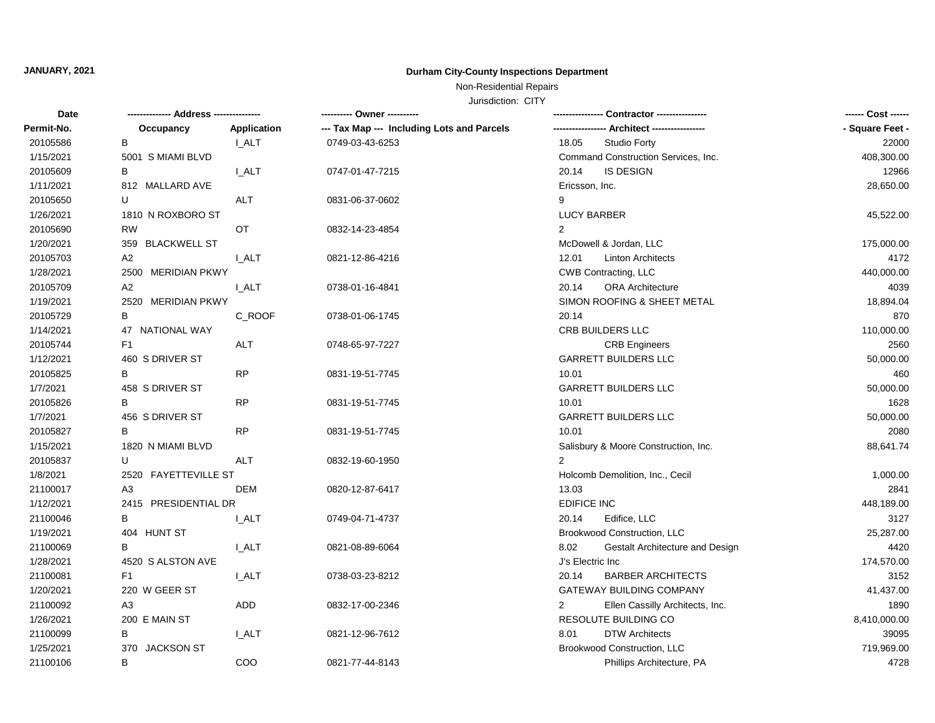## **JANUARY, 2021 Durham City-County Inspections Department**

## Non-Residential Repairs

Jurisdiction: CITY

| Date       | -------------- Address -------------- |              | ---------- Owner ----------                | - Contractor ----------------                     | ------ Cost ------ |
|------------|---------------------------------------|--------------|--------------------------------------------|---------------------------------------------------|--------------------|
| Permit-No. | Occupancy                             | Application  | --- Tax Map --- Including Lots and Parcels |                                                   | - Square Feet -    |
| 20105586   | B                                     | I_ALT        | 0749-03-43-6253                            | 18.05<br><b>Studio Forty</b>                      | 22000              |
| 1/15/2021  | 5001 S MIAMI BLVD                     |              |                                            | Command Construction Services, Inc.               | 408,300.00         |
| 20105609   | в                                     | I_ALT        | 0747-01-47-7215                            | <b>IS DESIGN</b><br>20.14                         | 12966              |
| 1/11/2021  | 812 MALLARD AVE                       |              |                                            | Ericsson, Inc.                                    | 28,650.00          |
| 20105650   | U                                     | <b>ALT</b>   | 0831-06-37-0602                            | 9                                                 |                    |
| 1/26/2021  | 1810 N ROXBORO ST                     |              |                                            | <b>LUCY BARBER</b>                                | 45,522.00          |
| 20105690   | <b>RW</b>                             | OT           | 0832-14-23-4854                            | 2                                                 |                    |
| 1/20/2021  | 359 BLACKWELL ST                      |              |                                            | McDowell & Jordan, LLC                            | 175,000.00         |
| 20105703   | A2                                    | <b>I_ALT</b> | 0821-12-86-4216                            | 12.01<br><b>Linton Architects</b>                 | 4172               |
| 1/28/2021  | 2500 MERIDIAN PKWY                    |              |                                            | <b>CWB Contracting, LLC</b>                       | 440,000.00         |
| 20105709   | A <sub>2</sub>                        | <b>I_ALT</b> | 0738-01-16-4841                            | 20.14<br><b>ORA Architecture</b>                  | 4039               |
| 1/19/2021  | 2520 MERIDIAN PKWY                    |              |                                            | SIMON ROOFING & SHEET METAL                       | 18,894.04          |
| 20105729   | В                                     | C_ROOF       | 0738-01-06-1745                            | 20.14                                             | 870                |
| 1/14/2021  | 47 NATIONAL WAY                       |              |                                            | CRB BUILDERS LLC                                  | 110,000.00         |
| 20105744   | F <sub>1</sub>                        | <b>ALT</b>   | 0748-65-97-7227                            | <b>CRB Engineers</b>                              | 2560               |
| 1/12/2021  | 460 S DRIVER ST                       |              |                                            | <b>GARRETT BUILDERS LLC</b>                       | 50,000.00          |
| 20105825   | в                                     | <b>RP</b>    | 0831-19-51-7745                            | 10.01                                             | 460                |
| 1/7/2021   | 458 S DRIVER ST                       |              |                                            | <b>GARRETT BUILDERS LLC</b>                       | 50,000.00          |
| 20105826   | в                                     | <b>RP</b>    | 0831-19-51-7745                            | 10.01                                             | 1628               |
| 1/7/2021   | 456 S DRIVER ST                       |              |                                            | <b>GARRETT BUILDERS LLC</b>                       | 50,000.00          |
| 20105827   | в                                     | <b>RP</b>    | 0831-19-51-7745                            | 10.01                                             | 2080               |
| 1/15/2021  | 1820 N MIAMI BLVD                     |              |                                            | Salisbury & Moore Construction, Inc.              | 88,641.74          |
| 20105837   | U                                     | ALT          | 0832-19-60-1950                            | 2                                                 |                    |
| 1/8/2021   | 2520 FAYETTEVILLE ST                  |              |                                            | Holcomb Demolition, Inc., Cecil                   | 1,000.00           |
| 21100017   | A <sub>3</sub>                        | DEM          | 0820-12-87-6417                            | 13.03                                             | 2841               |
| 1/12/2021  | 2415 PRESIDENTIAL DR                  |              |                                            | <b>EDIFICE INC</b>                                | 448,189.00         |
| 21100046   | в                                     | I ALT        | 0749-04-71-4737                            | 20.14<br>Edifice, LLC                             | 3127               |
| 1/19/2021  | 404 HUNT ST                           |              |                                            | Brookwood Construction, LLC                       | 25,287.00          |
| 21100069   | B                                     | <b>I_ALT</b> | 0821-08-89-6064                            | 8.02<br>Gestalt Architecture and Design           | 4420               |
| 1/28/2021  | 4520 S ALSTON AVE                     |              |                                            | J's Electric Inc                                  | 174,570.00         |
| 21100081   | F1                                    | I_ALT        | 0738-03-23-8212                            | <b>BARBER ARCHITECTS</b><br>20.14                 | 3152               |
| 1/20/2021  | 220 W GEER ST                         |              |                                            | GATEWAY BUILDING COMPANY                          | 41,437.00          |
| 21100092   | A3                                    | <b>ADD</b>   | 0832-17-00-2346                            | $\overline{2}$<br>Ellen Cassilly Architects, Inc. | 1890               |
| 1/26/2021  | 200 E MAIN ST                         |              |                                            | RESOLUTE BUILDING CO                              | 8,410,000.00       |
| 21100099   | В                                     | <b>I_ALT</b> | 0821-12-96-7612                            | <b>DTW Architects</b><br>8.01                     | 39095              |
| 1/25/2021  | 370 JACKSON ST                        |              |                                            | Brookwood Construction, LLC                       | 719,969.00         |
| 21100106   | B                                     | COO          | 0821-77-44-8143                            | Phillips Architecture, PA                         | 4728               |